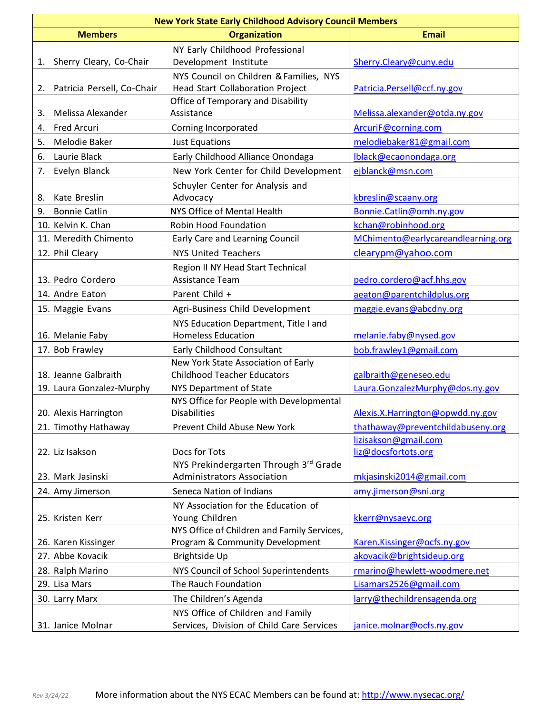| <b>New York State Early Childhood Advisory Council Members</b> |                                                                 |                                                           |  |  |
|----------------------------------------------------------------|-----------------------------------------------------------------|-----------------------------------------------------------|--|--|
| <b>Members</b>                                                 | <b>Organization</b>                                             | <b>Email</b>                                              |  |  |
|                                                                | NY Early Childhood Professional                                 |                                                           |  |  |
| Sherry Cleary, Co-Chair<br>1.                                  | Development Institute                                           | Sherry.Cleary@cuny.edu                                    |  |  |
|                                                                | NYS Council on Children & Families, NYS                         |                                                           |  |  |
| Patricia Persell, Co-Chair<br>2.                               | Head Start Collaboration Project                                | Patricia.Persell@ccf.ny.gov                               |  |  |
|                                                                | Office of Temporary and Disability                              |                                                           |  |  |
| Melissa Alexander<br>3.                                        | Assistance                                                      | Melissa.alexander@otda.ny.gov                             |  |  |
| <b>Fred Arcuri</b><br>4.                                       | Corning Incorporated                                            | ArcuriF@corning.com                                       |  |  |
| 5.<br>Melodie Baker                                            | <b>Just Equations</b>                                           | melodiebaker81@gmail.com                                  |  |  |
| Laurie Black<br>6.                                             | Early Childhood Alliance Onondaga                               | Iblack@ecaonondaga.org                                    |  |  |
| 7.<br>Evelyn Blanck                                            | New York Center for Child Development                           | ejblanck@msn.com                                          |  |  |
|                                                                | Schuyler Center for Analysis and                                |                                                           |  |  |
| Kate Breslin<br>8.                                             | Advocacy                                                        | kbreslin@scaany.org                                       |  |  |
| <b>Bonnie Catlin</b><br>9.                                     | NYS Office of Mental Health                                     | Bonnie.Catlin@omh.ny.gov                                  |  |  |
| 10. Kelvin K. Chan                                             | <b>Robin Hood Foundation</b>                                    | kchan@robinhood.org                                       |  |  |
| 11. Meredith Chimento                                          | Early Care and Learning Council                                 | MChimento@earlycareandlearning.org                        |  |  |
| 12. Phil Cleary                                                | <b>NYS United Teachers</b>                                      | clearypm@yahoo.com                                        |  |  |
|                                                                | Region II NY Head Start Technical                               |                                                           |  |  |
| 13. Pedro Cordero                                              | Assistance Team                                                 | pedro.cordero@acf.hhs.gov                                 |  |  |
| 14. Andre Eaton                                                | Parent Child +                                                  | aeaton@parentchildplus.org                                |  |  |
| 15. Maggie Evans                                               | Agri-Business Child Development                                 | maggie.evans@abcdny.org                                   |  |  |
|                                                                | NYS Education Department, Title I and                           |                                                           |  |  |
| 16. Melanie Faby                                               | <b>Homeless Education</b>                                       | melanie.faby@nysed.gov                                    |  |  |
| 17. Bob Frawley                                                | Early Childhood Consultant                                      | bob.frawley1@gmail.com                                    |  |  |
|                                                                | New York State Association of Early                             |                                                           |  |  |
| 18. Jeanne Galbraith                                           | <b>Childhood Teacher Educators</b>                              | galbraith@geneseo.edu                                     |  |  |
| 19. Laura Gonzalez-Murphy                                      | <b>NYS Department of State</b>                                  | Laura.GonzalezMurphy@dos.ny.gov                           |  |  |
|                                                                | NYS Office for People with Developmental<br><b>Disabilities</b> |                                                           |  |  |
| 20. Alexis Harrington                                          |                                                                 | Alexis.X. Harrington@opwdd.ny.gov                         |  |  |
| 21. Timothy Hathaway                                           | Prevent Child Abuse New York                                    | thathaway@preventchildabuseny.org<br>lizisakson@gmail.com |  |  |
| 22. Liz Isakson                                                | Docs for Tots                                                   | liz@docsfortots.org                                       |  |  |
|                                                                | NYS Prekindergarten Through 3rd Grade                           |                                                           |  |  |
| 23. Mark Jasinski                                              | <b>Administrators Association</b>                               | mkjasinski2014@gmail.com                                  |  |  |
| 24. Amy Jimerson                                               | Seneca Nation of Indians                                        | amy.jimerson@sni.org                                      |  |  |
|                                                                | NY Association for the Education of                             |                                                           |  |  |
| 25. Kristen Kerr                                               | Young Children                                                  | kkerr@nysaeyc.org                                         |  |  |
|                                                                | NYS Office of Children and Family Services,                     |                                                           |  |  |
| 26. Karen Kissinger                                            | Program & Community Development                                 | Karen.Kissinger@ocfs.ny.gov                               |  |  |
| 27. Abbe Kovacik                                               | Brightside Up                                                   | akovacik@brightsideup.org                                 |  |  |
| 28. Ralph Marino                                               | NYS Council of School Superintendents                           | rmarino@hewlett-woodmere.net                              |  |  |
| 29. Lisa Mars                                                  | The Rauch Foundation                                            | Lisamars2526@gmail.com                                    |  |  |
| 30. Larry Marx                                                 | The Children's Agenda                                           | larry@thechildrensagenda.org                              |  |  |
|                                                                | NYS Office of Children and Family                               |                                                           |  |  |
| 31. Janice Molnar                                              | Services, Division of Child Care Services                       | janice.molnar@ocfs.ny.gov                                 |  |  |